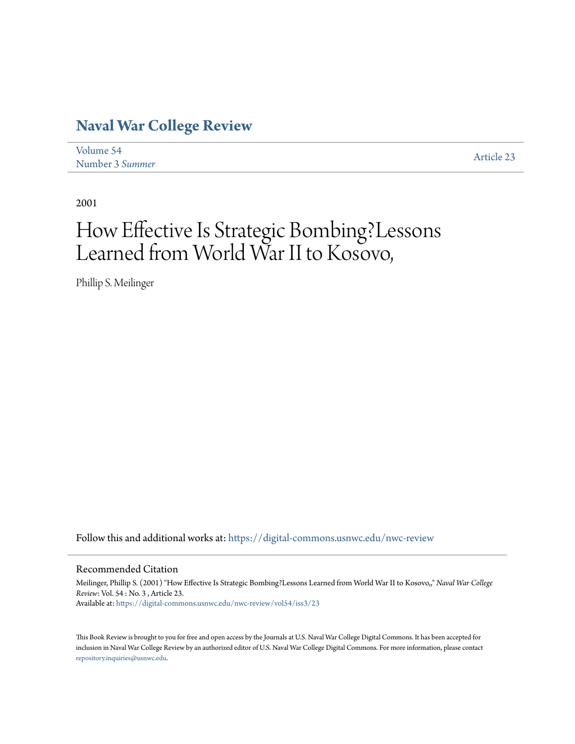## **[Naval War College Review](https://digital-commons.usnwc.edu/nwc-review?utm_source=digital-commons.usnwc.edu%2Fnwc-review%2Fvol54%2Fiss3%2F23&utm_medium=PDF&utm_campaign=PDFCoverPages)**

| Volume 54       | Article 23 |
|-----------------|------------|
| Number 3 Summer |            |

2001

## How Effective Is Strategic Bombing?Lessons Learned from World War II to Kosovo,

Phillip S. Meilinger

Follow this and additional works at: [https://digital-commons.usnwc.edu/nwc-review](https://digital-commons.usnwc.edu/nwc-review?utm_source=digital-commons.usnwc.edu%2Fnwc-review%2Fvol54%2Fiss3%2F23&utm_medium=PDF&utm_campaign=PDFCoverPages)

## Recommended Citation

Meilinger, Phillip S. (2001) "How Effective Is Strategic Bombing?Lessons Learned from World War II to Kosovo,," *Naval War College Review*: Vol. 54 : No. 3 , Article 23. Available at: [https://digital-commons.usnwc.edu/nwc-review/vol54/iss3/23](https://digital-commons.usnwc.edu/nwc-review/vol54/iss3/23?utm_source=digital-commons.usnwc.edu%2Fnwc-review%2Fvol54%2Fiss3%2F23&utm_medium=PDF&utm_campaign=PDFCoverPages)

This Book Review is brought to you for free and open access by the Journals at U.S. Naval War College Digital Commons. It has been accepted for inclusion in Naval War College Review by an authorized editor of U.S. Naval War College Digital Commons. For more information, please contact [repository.inquiries@usnwc.edu](mailto:repository.inquiries@usnwc.edu).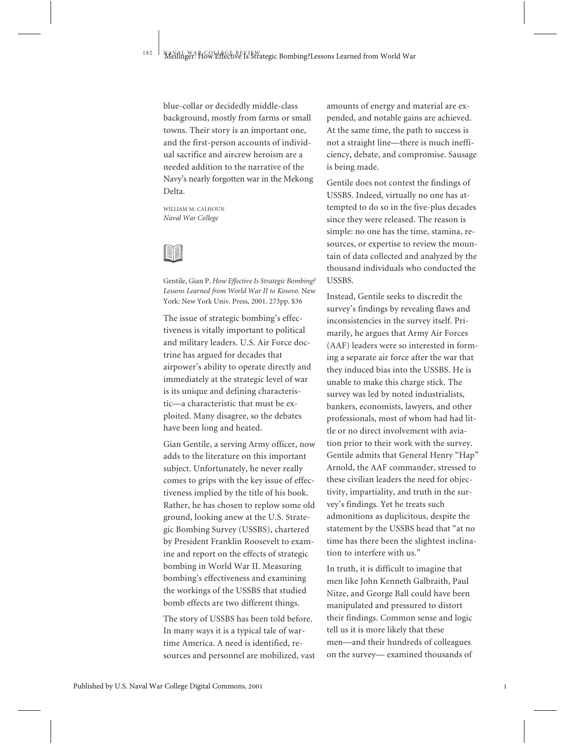blue-collar or decidedly middle-class background, mostly from farms or small towns. Their story is an important one, and the first-person accounts of individual sacrifice and aircrew heroism are a needed addition to the narrative of the Navy's nearly forgotten war in the Mekong Delta.

WILLIAM M. CALHOUN *Naval War College*



Gentile, Gian P. *How Effective Is Strategic Bombing? Lessons Learned from World War II to Kosovo.* New York: New York Univ. Press, 2001. 273pp. \$36

The issue of strategic bombing's effectiveness is vitally important to political and military leaders. U.S. Air Force doctrine has argued for decades that airpower's ability to operate directly and immediately at the strategic level of war is its unique and defining characteristic—a characteristic that must be exploited. Many disagree, so the debates have been long and heated.

Gian Gentile, a serving Army officer, now adds to the literature on this important subject. Unfortunately, he never really comes to grips with the key issue of effectiveness implied by the title of his book. Rather, he has chosen to replow some old ground, looking anew at the U.S. Strategic Bombing Survey (USSBS), chartered by President Franklin Roosevelt to examine and report on the effects of strategic bombing in World War II. Measuring bombing's effectiveness and examining the workings of the USSBS that studied bomb effects are two different things.

The story of USSBS has been told before. In many ways it is a typical tale of wartime America. A need is identified, resources and personnel are mobilized, vast amounts of energy and material are expended, and notable gains are achieved. At the same time, the path to success is not a straight line—there is much inefficiency, debate, and compromise. Sausage is being made.

Gentile does not contest the findings of USSBS. Indeed, virtually no one has attempted to do so in the five-plus decades since they were released. The reason is simple: no one has the time, stamina, resources, or expertise to review the mountain of data collected and analyzed by the thousand individuals who conducted the USSBS.

Instead, Gentile seeks to discredit the survey's findings by revealing flaws and inconsistencies in the survey itself. Primarily, he argues that Army Air Forces (AAF) leaders were so interested in forming a separate air force after the war that they induced bias into the USSBS. He is unable to make this charge stick. The survey was led by noted industrialists, bankers, economists, lawyers, and other professionals, most of whom had had little or no direct involvement with aviation prior to their work with the survey. Gentile admits that General Henry "Hap" Arnold, the AAF commander, stressed to these civilian leaders the need for objectivity, impartiality, and truth in the survey's findings. Yet he treats such admonitions as duplicitous, despite the statement by the USSBS head that "at no time has there been the slightest inclination to interfere with us."

In truth, it is difficult to imagine that men like John Kenneth Galbraith, Paul Nitze, and George Ball could have been manipulated and pressured to distort their findings. Common sense and logic tell us it is more likely that these men—and their hundreds of colleagues on the survey— examined thousands of